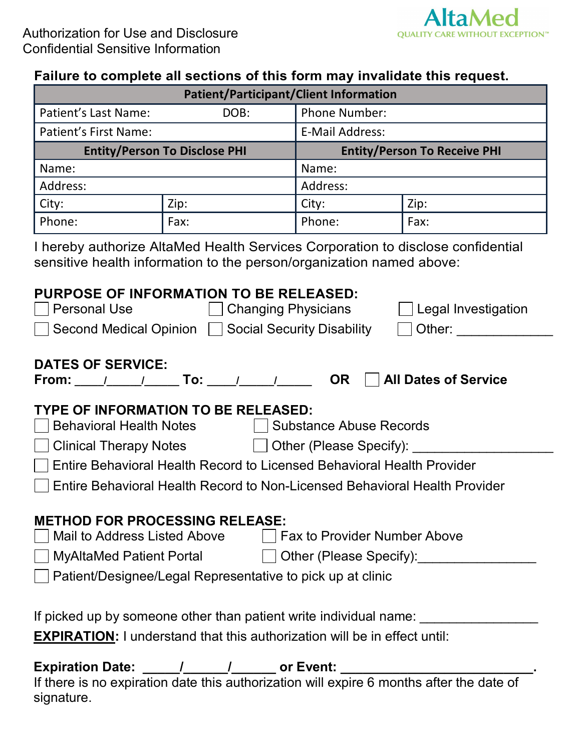

| <b>Patient/Participant/Client Information</b> |      |                                     |      |  |
|-----------------------------------------------|------|-------------------------------------|------|--|
| Patient's Last Name:                          | DOB: | <b>Phone Number:</b>                |      |  |
| Patient's First Name:                         |      | <b>E-Mail Address:</b>              |      |  |
| <b>Entity/Person To Disclose PHI</b>          |      | <b>Entity/Person To Receive PHI</b> |      |  |
| Name:                                         |      | Name:                               |      |  |
| Address:                                      |      | Address:                            |      |  |
| City:                                         | Zip: | City:                               | Zip: |  |
| Phone:                                        | Fax: | Phone:                              | Fax: |  |

I hereby authorize AltaMed Health Services Corporation to disclose confidential sensitive health information to the person/organization named above:

### **PURPOSE OF INFORMATION TO BE RELEASED:**

| <b>Personal Use</b>                                                                                                       | <b>Changing Physicians</b><br>$\vert$ Legal Investigation                  |  |
|---------------------------------------------------------------------------------------------------------------------------|----------------------------------------------------------------------------|--|
| <b>Second Medical Opinion</b><br><b>Social Security Disability</b><br>Other:                                              |                                                                            |  |
| <b>DATES OF SERVICE:</b><br><b>All Dates of Service</b><br><b>OR</b><br>From: $1 \quad 1 \quad 1$ To: $1 \quad 1 \quad 1$ |                                                                            |  |
| TYPE OF INFORMATION TO BE RELEASED:                                                                                       |                                                                            |  |
| <b>Behavioral Health Notes</b>                                                                                            | <b>Substance Abuse Records</b>                                             |  |
| <b>Clinical Therapy Notes</b>                                                                                             | Other (Please Specify):                                                    |  |
| Entire Behavioral Health Record to Licensed Behavioral Health Provider                                                    |                                                                            |  |
|                                                                                                                           | Entire Behavioral Health Record to Non-Licensed Behavioral Health Provider |  |

- **METHOD FOR PROCESSING RELEASE:**<br>
In Mail to Address Listed Above Integral Fax to Provider Number Above Mail to Address Listed Above
- MyAltaMed Patient Portal Dubler (Please Specify):
- 
- Patient/Designee/Legal Representative to pick up at clinic

If picked up by someone other than patient write individual name:

**EXPIRATION:** I understand that this authorization will be in effect until:

# **Expiration Date: \_\_\_\_\_/\_\_\_\_\_\_/\_\_\_\_\_\_ or Event: \_\_\_\_\_\_\_\_\_\_\_\_\_\_\_\_\_\_\_\_\_\_\_\_\_\_.**

 If there is no expiration date this authorization will expire 6 months after the date of signature.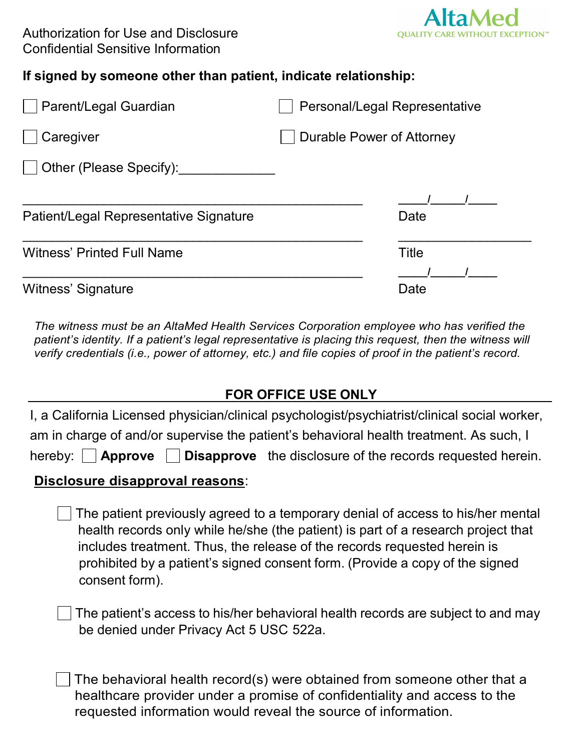

### **If signed by someone other than patient, indicate relationship:**

| Parent/Legal Guardian                  | Personal/Legal Representative |
|----------------------------------------|-------------------------------|
| Caregiver                              | Durable Power of Attorney     |
| Other (Please Specify):                |                               |
| Patient/Legal Representative Signature | Date                          |
| <b>Witness' Printed Full Name</b>      | <b>Title</b>                  |
| Witness' Signature                     | Date                          |

*The witness must be an AltaMed Health Services Corporation employee who has verified the patient's identity. If a patient's legal representative is placing this request, then the witness will verify credentials (i.e., power of attorney, etc.) and file copies of proof in the patient's record.*

## **FOR OFFICE USE ONLY**

| I, a California Licensed physician/clinical psychologist/psychiatrist/clinical social worker,<br>am in charge of and/or supervise the patient's behavioral health treatment. As such, I                                                                                                                                                            |  |  |  |  |
|----------------------------------------------------------------------------------------------------------------------------------------------------------------------------------------------------------------------------------------------------------------------------------------------------------------------------------------------------|--|--|--|--|
| <b>Disapprove</b> the disclosure of the records requested herein.<br>hereby: $ $ $ $ <b>Approve</b>                                                                                                                                                                                                                                                |  |  |  |  |
| Disclosure disapproval reasons:                                                                                                                                                                                                                                                                                                                    |  |  |  |  |
| The patient previously agreed to a temporary denial of access to his/her mental<br>health records only while he/she (the patient) is part of a research project that<br>includes treatment. Thus, the release of the records requested herein is<br>prohibited by a patient's signed consent form. (Provide a copy of the signed<br>consent form). |  |  |  |  |
| The patient's access to his/her behavioral health records are subject to and may<br>be denied under Privacy Act 5 USC 522a.                                                                                                                                                                                                                        |  |  |  |  |
| The behavioral health record(s) were obtained from someone other that a                                                                                                                                                                                                                                                                            |  |  |  |  |

The behavioral health record(s) were obtained from someone other that a healthcare provider under a promise of confidentiality and access to the requested information would reveal the source of information.